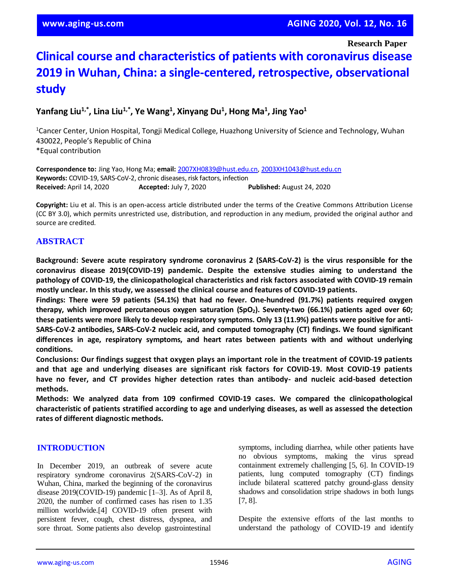**Research Paper**

# **Clinical course and characteristics of patients with coronavirus disease 2019 in Wuhan, China: a single-centered, retrospective, observational study**

**Yanfang Liu1,\*, Lina Liu1,\*, Ye Wang<sup>1</sup> , Xinyang Du<sup>1</sup> , Hong Ma<sup>1</sup> , Jing Yao<sup>1</sup>**

<sup>1</sup>Cancer Center, Union Hospital, Tongji Medical College, Huazhong University of Science and Technology, Wuhan 430022, People's Republic of China \*Equal contribution

**Correspondence to:** Jing Yao, Hong Ma; **email:** [2007XH0839@hust.edu.cn,](mailto:2007XH0839@hust.edu.cn) [2003XH1043@hust.edu.cn](mailto:2003XH1043@hust.edu.cn) **Keywords:** COVID-19, SARS-CoV-2, chronic diseases, risk factors, infection **Received:** April 14, 2020 **Accepted:** July 7, 2020 **Published:** August 24, 2020

**Copyright:** Liu et al. This is an open-access article distributed under the terms of the Creative Commons Attribution License (CC BY 3.0), which permits unrestricted use, distribution, and reproduction in any medium, provided the original author and source are credited.

## **ABSTRACT**

**Background: Severe acute respiratory syndrome coronavirus 2 (SARS-CoV-2) is the virus responsible for the coronavirus disease 2019(COVID-19) pandemic. Despite the extensive studies aiming to understand the pathology of COVID-19, the clinicopathological characteristics and risk factors associated with COVID-19 remain mostly unclear. In this study, we assessed the clinical course and features of COVID-19 patients.**

**Findings: There were 59 patients (54.1%) that had no fever. One-hundred (91.7%) patients required oxygen therapy, which improved percutaneous oxygen saturation (SpO2). Seventy-two (66.1%) patients aged over 60;** these patients were more likely to develop respiratory symptoms. Only 13 (11.9%) patients were positive for anti-**SARS-CoV-2 antibodies, SARS-CoV-2 nucleic acid, and computed tomography (CT) findings. We found significant differences in age, respiratory symptoms, and heart rates between patients with and without underlying conditions.**

**Conclusions: Our findings suggest that oxygen plays an important role in the treatment of COVID-19 patients and that age and underlying diseases are significant risk factors for COVID-19. Most COVID-19 patients have no fever, and CT provides higher detection rates than antibody- and nucleic acid-based detection methods.**

**Methods: We analyzed data from 109 confirmed COVID-19 cases. We compared the clinicopathological** characteristic of patients stratified according to age and underlying diseases, as well as assessed the detection **rates of different diagnostic methods.**

## **INTRODUCTION**

In December 2019, an outbreak of severe acute respiratory syndrome coronavirus 2(SARS-CoV-2) in Wuhan, China, marked the beginning of the coronavirus disease 2019(COVID-19) pandemic [1–3]. As of April 8, 2020, the number of confirmed cases has risen to 1.35 million worldwide.[4] COVID-19 often present with persistent fever, cough, chest distress, dyspnea, and sore throat. Some patients also develop gastrointestinal

symptoms, including diarrhea, while other patients have no obvious symptoms, making the virus spread containment extremely challenging [5, 6]. In COVID-19 patients, lung computed tomography (CT) findings include bilateral scattered patchy ground-glass density shadows and consolidation stripe shadows in both lungs [7, 8].

Despite the extensive efforts of the last months to understand the pathology of COVID-19 and identify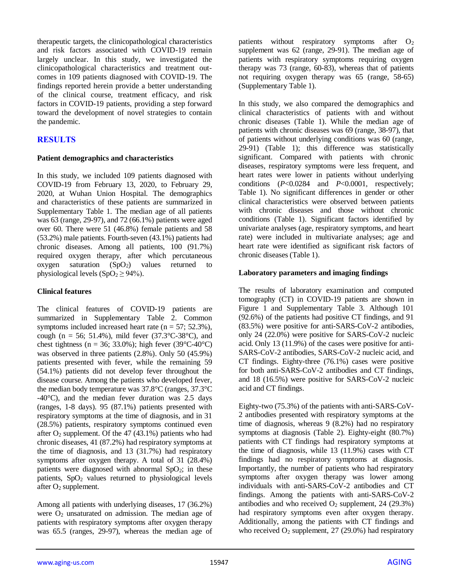therapeutic targets, the clinicopathological characteristics and risk factors associated with COVID-19 remain largely unclear. In this study, we investigated the clinicopathological characteristics and treatment outcomes in 109 patients diagnosed with COVID-19. The findings reported herein provide a better understanding of the clinical course, treatment efficacy, and risk factors in COVID-19 patients, providing a step forward toward the development of novel strategies to contain the pandemic.

# **RESULTS**

## **Patient demographics and characteristics**

In this study, we included 109 patients diagnosed with COVID-19 from February 13, 2020, to February 29, 2020, at Wuhan Union Hospital. The demographics and characteristics of these patients are summarized in Supplementary Table 1. The median age of all patients was 63 (range, 29-97), and 72 (66.1%) patients were aged over 60. There were 51 (46.8%) female patients and 58 (53.2%) male patients. Fourth-seven (43.1%) patients had chronic diseases. Among all patients, 100 (91.7%) required oxygen therapy, after which percutaneous oxygen saturation  $(SpO<sub>2</sub>)$  values returned to physiological levels  $(SpO<sub>2</sub> \ge 94$ %).

## **Clinical features**

The clinical features of COVID-19 patients are summarized in Supplementary Table 2. Common symptoms included increased heart rate  $(n = 57, 52.3\%)$ , cough (n = 56; 51.4%), mild fever  $(37.3^{\circ}C - 38^{\circ}C)$ , and chest tightness (n = 36; 33.0%); high fever (39 $\textdegree$ C-40 $\textdegree$ C) was observed in three patients (2.8%). Only 50 (45.9%) patients presented with fever, while the remaining 59 (54.1%) patients did not develop fever throughout the disease course. Among the patients who developed fever, the median body temperature was 37.8°C (ranges, 37.3°C -40°C), and the median fever duration was 2.5 days (ranges, 1-8 days). 95 (87.1%) patients presented with respiratory symptoms at the time of diagnosis, and in 31 (28.5%) patients, respiratory symptoms continued even after  $O_2$  supplement. Of the 47 (43.1%) patients who had chronic diseases, 41 (87.2%) had respiratory symptoms at the time of diagnosis, and 13 (31.7%) had respiratory symptoms after oxygen therapy. A total of 31 (28.4%) patients were diagnosed with abnormal  $SpO<sub>2</sub>$ ; in these patients,  $SpO<sub>2</sub>$  values returned to physiological levels after  $O_2$  supplement.

Among all patients with underlying diseases, 17 (36.2%) were  $O_2$  unsaturated on admission. The median age of patients with respiratory symptoms after oxygen therapy was 65.5 (ranges, 29-97), whereas the median age of patients without respiratory symptoms after  $O_2$ supplement was 62 (range, 29-91). The median age of patients with respiratory symptoms requiring oxygen therapy was 73 (range, 60-83), whereas that of patients not requiring oxygen therapy was 65 (range, 58-65) (Supplementary Table 1).

In this study, we also compared the demographics and clinical characteristics of patients with and without chronic diseases (Table 1). While the median age of patients with chronic diseases was 69 (range, 38-97), that of patients without underlying conditions was 60 (range, 29-91) (Table 1); this difference was statistically significant. Compared with patients with chronic diseases, respiratory symptoms were less frequent, and heart rates were lower in patients without underlying conditions (*P*<0.0284 and *P*<0.0001, respectively; Table 1). No significant differences in gender or other clinical characteristics were observed between patients with chronic diseases and those without chronic conditions (Table 1). Significant factors identified by univariate analyses (age, respiratory symptoms, and heart rate) were included in multivariate analyses; age and heart rate were identified as significant risk factors of chronic diseases (Table 1).

## **Laboratory parameters and imaging findings**

The results of laboratory examination and computed tomography (CT) in COVID-19 patients are shown in Figure 1 and Supplementary Table 3. Although 101 (92.6%) of the patients had positive CT findings, and 91 (83.5%) were positive for anti-SARS-CoV-2 antibodies, only 24 (22.0%) were positive for SARS-CoV-2 nucleic acid. Only 13 (11.9%) of the cases were positive for anti-SARS-CoV-2 antibodies, SARS-CoV-2 nucleic acid, and CT findings. Eighty-three (76.1%) cases were positive for both anti-SARS-CoV-2 antibodies and CT findings, and 18 (16.5%) were positive for SARS-CoV-2 nucleic acid and CT findings.

Eighty-two (75.3%) of the patients with anti-SARS-CoV-2 antibodies presented with respiratory symptoms at the time of diagnosis, whereas 9 (8.2%) had no respiratory symptoms at diagnosis (Table 2). Eighty-eight (80.7%) patients with CT findings had respiratory symptoms at the time of diagnosis, while 13 (11.9%) cases with CT findings had no respiratory symptoms at diagnosis. Importantly, the number of patients who had respiratory symptoms after oxygen therapy was lower among individuals with anti-SARS-CoV-2 antibodies and CT findings. Among the patients with anti-SARS-CoV-2 antibodies and who received  $O_2$  supplement, 24 (29.3%) had respiratory symptoms even after oxygen therapy. Additionally, among the patients with CT findings and who received  $O_2$  supplement, 27 (29.0%) had respiratory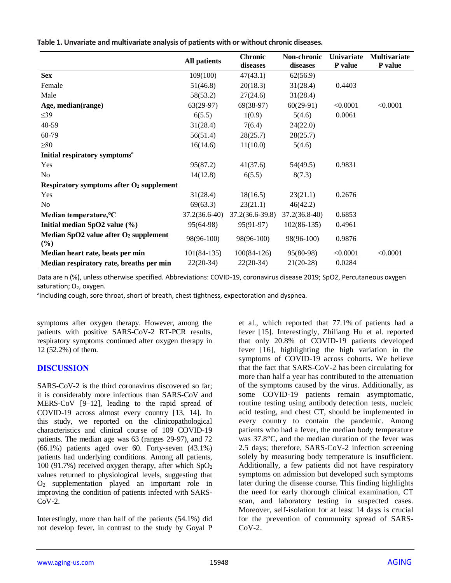|                                              | <b>All patients</b> | <b>Chronic</b><br>diseases | Non-chronic<br>diseases | <b>Univariate</b><br>P value | <b>Multivariate</b><br><b>P</b> value |  |
|----------------------------------------------|---------------------|----------------------------|-------------------------|------------------------------|---------------------------------------|--|
| <b>Sex</b>                                   | 109(100)            | 47(43.1)                   | 62(56.9)                |                              |                                       |  |
| Female                                       | 51(46.8)            | 20(18.3)                   | 31(28.4)                | 0.4403                       |                                       |  |
| Male                                         | 58(53.2)            | 27(24.6)                   | 31(28.4)                |                              |                                       |  |
| Age, median(range)                           | $63(29-97)$         | $69(38-97)$                | $60(29-91)$             | < 0.0001                     | < 0.0001                              |  |
| $\leq$ 39                                    | 6(5.5)              | 1(0.9)                     | 5(4.6)                  | 0.0061                       |                                       |  |
| 40-59                                        | 31(28.4)            | 7(6.4)                     | 24(22.0)                |                              |                                       |  |
| 60-79                                        | 56(51.4)            | 28(25.7)                   | 28(25.7)                |                              |                                       |  |
| $\geq 80$                                    | 16(14.6)            | 11(10.0)                   | 5(4.6)                  |                              |                                       |  |
| Initial respiratory symptoms <sup>a</sup>    |                     |                            |                         |                              |                                       |  |
| Yes                                          | 95(87.2)            | 41(37.6)                   | 54(49.5)                | 0.9831                       |                                       |  |
| N <sub>o</sub>                               | 14(12.8)            | 6(5.5)                     | 8(7.3)                  |                              |                                       |  |
| Respiratory symptoms after $O2$ supplement   |                     |                            |                         |                              |                                       |  |
| Yes                                          | 31(28.4)            | 18(16.5)                   | 23(21.1)                | 0.2676                       |                                       |  |
| N <sub>0</sub>                               | 69(63.3)            | 23(21.1)                   | 46(42.2)                |                              |                                       |  |
| Median temperature, °C                       | $37.2(36.6-40)$     | $37.2(36.6-39.8)$          | $37.2(36.8-40)$         | 0.6853                       |                                       |  |
| Initial median SpO2 value (%)                | 95(64-98)           | $95(91-97)$                | $102(86-135)$           | 0.4961                       |                                       |  |
| Median SpO2 value after O2 supplement<br>(%) | 98(96-100)          | 98(96-100)                 | 98(96-100)              | 0.9876                       |                                       |  |
| Median heart rate, beats per min             | $101(84-135)$       | $100(84-126)$              | 95(80-98)               | < 0.0001                     | < 0.0001                              |  |
| Median respiratory rate, breaths per min     | $22(20-34)$         | $22(20-34)$                | $21(20-28)$             | 0.0284                       |                                       |  |

Data are n (%), unless otherwise specified. Abbreviations: COVID-19, coronavirus disease 2019; SpO2, Percutaneous oxygen saturation;  $O<sub>2</sub>$ , oxygen.

aincluding cough, sore throat, short of breath, chest tightness, expectoration and dyspnea.

symptoms after oxygen therapy. However, among the patients with positive SARS-CoV-2 RT-PCR results, respiratory symptoms continued after oxygen therapy in 12 (52.2%) of them.

# **DISCUSSION**

SARS-CoV-2 is the third coronavirus discovered so far; it is considerably more infectious than SARS-CoV and MERS-CoV [9–12], leading to the rapid spread of COVID-19 across almost every country [13, 14]. In this study, we reported on the clinicopathological characteristics and clinical course of 109 COVID-19 patients. The median age was 63 (ranges 29-97), and 72 (66.1%) patients aged over 60. Forty-seven (43.1%) patients had underlying conditions. Among all patients, 100 (91.7%) received oxygen therapy, after which  $SpO<sub>2</sub>$ values returned to physiological levels, suggesting that O<sup>2</sup> supplementation played an important role in improving the condition of patients infected with SARS- $CoV-2.$ 

Interestingly, more than half of the patients (54.1%) did not develop fever, in contrast to the study by Goyal P et al., which reported that 77.1% of patients had a fever [15]. Interestingly, Zhiliang Hu et al. reported that only 20.8% of COVID-19 patients developed fever [16], highlighting the high variation in the symptoms of COVID-19 across cohorts. We believe that the fact that SARS-CoV-2 has been circulating for more than half a year has contributed to the attenuation of the symptoms caused by the virus. Additionally, as some COVID-19 patients remain asymptomatic, routine testing using antibody detection tests, nucleic acid testing, and chest CT, should be implemented in every country to contain the pandemic. Among patients who had a fever, the median body temperature was 37.8°C, and the median duration of the fever was 2.5 days; therefore, SARS-CoV-2 infection screening solely by measuring body temperature is insufficient. Additionally, a few patients did not have respiratory symptoms on admission but developed such symptoms later during the disease course. This finding highlights the need for early thorough clinical examination, CT scan, and laboratory testing in suspected cases. Moreover, self-isolation for at least 14 days is crucial for the prevention of community spread of SARS- $CoV-2.$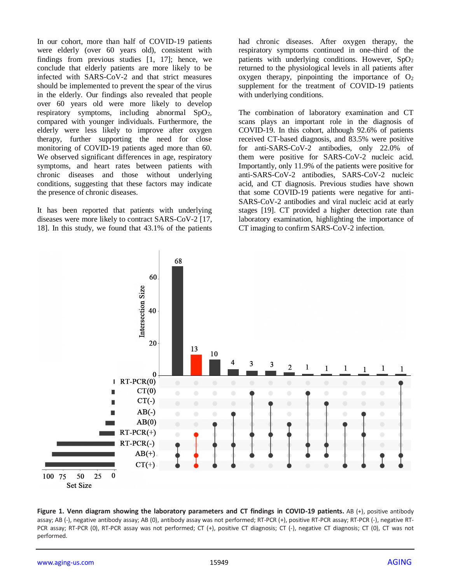In our cohort, more than half of COVID-19 patients were elderly (over 60 years old), consistent with findings from previous studies [1, 17]; hence, we conclude that elderly patients are more likely to be infected with SARS-CoV-2 and that strict measures should be implemented to prevent the spear of the virus in the elderly. Our findings also revealed that people over 60 years old were more likely to develop respiratory symptoms, including abnormal SpO2, compared with younger individuals. Furthermore, the elderly were less likely to improve after oxygen therapy, further supporting the need for close monitoring of COVID-19 patients aged more than 60. We observed significant differences in age, respiratory symptoms, and heart rates between patients with chronic diseases and those without underlying conditions, suggesting that these factors may indicate the presence of chronic diseases.

It has been reported that patients with underlying diseases were more likely to contract SARS-CoV-2 [17, 18]. In this study, we found that 43.1% of the patients

had chronic diseases. After oxygen therapy, the respiratory symptoms continued in one-third of the patients with underlying conditions. However,  $SpO<sub>2</sub>$ returned to the physiological levels in all patients after oxygen therapy, pinpointing the importance of  $O_2$ supplement for the treatment of COVID-19 patients with underlying conditions.

The combination of laboratory examination and CT scans plays an important role in the diagnosis of COVID-19. In this cohort, although 92.6% of patients received CT-based diagnosis, and 83.5% were positive for anti-SARS-CoV-2 antibodies, only 22.0% of them were positive for SARS-CoV-2 nucleic acid. Importantly, only 11.9% of the patients were positive for anti-SARS-CoV-2 antibodies, SARS-CoV-2 nucleic acid, and CT diagnosis. Previous studies have shown that some COVID-19 patients were negative for anti-SARS-CoV-2 antibodies and viral nucleic acid at early stages [19]. CT provided a higher detection rate than laboratory examination, highlighting the importance of CT imaging to confirm SARS-CoV-2 infection.



**Figure 1. Venn diagram showing the laboratory parameters and CT findings in COVID-19 patients.** AB (+), positive antibody assay; AB (-), negative antibody assay; AB (0), antibody assay was not performed; RT-PCR (+), positive RT-PCR assay; RT-PCR (-), negative RT-PCR assay; RT-PCR (0), RT-PCR assay was not performed; CT (+), positive CT diagnosis; CT (-), negative CT diagnosis; CT (0), CT was not performed.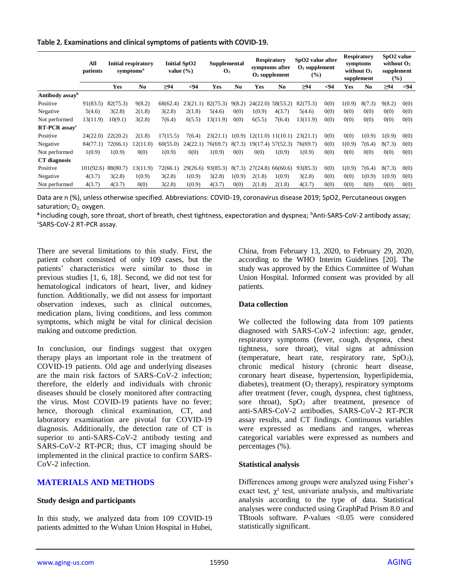#### **Table 2. Examinations and clinical symptoms of patients with COVID-19.**

|                              | All<br>patients | <b>Initial respiratory</b><br>symptoms <sup>a</sup> |          | <b>Initial SpO2</b><br>value $(\% )$ |          | Supplemental<br>$\mathbf{O}_2$ |                        | <b>Respiratory</b><br>symptoms after<br>$O2$ supplement |                     | SpO2 value after<br>$O2$ supplement<br>$\frac{9}{6}$ |      | <b>Respiratory</b><br>symptoms<br>without $O2$<br>supplement |        | SpO <sub>2</sub> value<br>without $O2$<br>supplement<br>$(\%)$ |      |
|------------------------------|-----------------|-----------------------------------------------------|----------|--------------------------------------|----------|--------------------------------|------------------------|---------------------------------------------------------|---------------------|------------------------------------------------------|------|--------------------------------------------------------------|--------|----------------------------------------------------------------|------|
|                              |                 | <b>Yes</b>                                          | No.      | ≥94                                  | $94$     | Yes                            | $\mathbf{N}\mathbf{0}$ | Yes                                                     | N <sub>0</sub>      | $\geq 94$                                            | $94$ | Yes                                                          | No.    | $\geq 94$                                                      | $94$ |
| Antibody assay <sup>b</sup>  |                 |                                                     |          |                                      |          |                                |                        |                                                         |                     |                                                      |      |                                                              |        |                                                                |      |
| Positive                     | 91(83.5)        | 82(75.3)                                            | 9(8.2)   | 68(62.4)                             | 23(21.1) | 82(75.3)                       | 9(8.2)                 | 24(22.0)                                                | 58(53.2)            | 82(75.3)                                             | 0(0) | 1(0.9)                                                       | 8(7.3) | 9(8.2)                                                         | 0(0) |
| Negative                     | 5(4.6)          | 3(2.8)                                              | 2(1.8)   | 3(2.8)                               | 2(1.8)   | 5(4.6)                         | 0(0)                   | 1(0.9)                                                  | 4(3.7)              | 5(4.6)                                               | 0(0) | 0(0)                                                         | 0(0)   | 0(0)                                                           | 0(0) |
| Not performed                | 13(11.9)        | 10(9.1)                                             | 3(2.8)   | 7(6.4)                               | 6(5.5)   | 13(11.9)                       | 0(0)                   | 6(5.5)                                                  | 7(6.4)              | 13(11.9)                                             | 0(0) | 0(0)                                                         | 0(0)   | 0(0)                                                           | 0(0) |
| $RT$ -PCR assay <sup>c</sup> |                 |                                                     |          |                                      |          |                                |                        |                                                         |                     |                                                      |      |                                                              |        |                                                                |      |
| Positive                     | 24(22.0)        | 22(20.2)                                            | 2(1.8)   | 17(15.5)                             | 7(6.4)   | 23(21.1)                       | 1(0.9)                 |                                                         | 12(11.0) 11(10.1)   | 23(21.1)                                             | 0(0) | 0(0)                                                         | 1(0.9) | 1(0.9)                                                         | 0(0) |
| Negative                     | 84(77.1)        | 72(66.1)                                            | 12(11.0) | 60(55.0)                             | 24(22.1) | 76(69.7)                       | 8(7.3)                 |                                                         | $19(17.4)$ 57(52.3) | 76(69.7)                                             | 0(0) | 1(0.9)                                                       | 7(6.4) | 8(7.3)                                                         | 0(0) |
| Not performed                | 1(0.9)          | 1(0.9)                                              | 0(0)     | 1(0.9)                               | 0(0)     | 1(0.9)                         | 0(0)                   | 0(0)                                                    | 1(0.9)              | 1(0.9)                                               | 0(0) | 0(0)                                                         | 0(0)   | 0(0)                                                           | 0(0) |
| CT diagnosis                 |                 |                                                     |          |                                      |          |                                |                        |                                                         |                     |                                                      |      |                                                              |        |                                                                |      |
| Positive                     | 101(92.6)       | 88(80.7)                                            | .3(11.9) | 72(66.1)                             | 29(26.6) | 93(85.3)                       | 8(7.3)                 | 27(24.8)                                                | 66(60.6)            | 93(85.3)                                             | 0(0) | 1(0.9)                                                       | 7(6.4) | 8(7.3)                                                         | 0(0) |
| Negative                     | 4(3.7)          | 3(2.8)                                              | 1(0.9)   | 3(2.8)                               | 1(0.9)   | 3(2.8)                         | 1(0.9)                 | 2(1.8)                                                  | 1(0.9)              | 3(2.8)                                               | 0(0) | 0(0)                                                         | 1(0.9) | 1(0.9)                                                         | 0(0) |
| Not performed                | 4(3.7)          | 4(3.7)                                              | 0(0)     | 3(2.8)                               | 1(0.9)   | 4(3.7)                         | 0(0)                   | 2(1.8)                                                  | 2(1.8)              | 4(3.7)                                               | 0(0) | 0(0)                                                         | 0(0)   | 0(0)                                                           | 0(0) |

Data are n (%), unless otherwise specified. Abbreviations: COVID-19, coronavirus disease 2019; SpO2, Percutaneous oxygen saturation; O<sub>2,</sub> oxygen.

a including cough, sore throat, short of breath, chest tightness, expectoration and dyspnea; <sup>b</sup>Anti-SARS-CoV-2 antibody assay; c SARS-CoV-2 RT-PCR assay.

There are several limitations to this study. First, the patient cohort consisted of only 109 cases, but the patients' characteristics were similar to those in previous studies [1, 6, 18]. Second, we did not test for hematological indicators of heart, liver, and kidney function. Additionally, we did not assess for important observation indexes, such as clinical outcomes, medication plans, living conditions, and less common symptoms, which might be vital for clinical decision making and outcome prediction.

In conclusion, our findings suggest that oxygen therapy plays an important role in the treatment of COVID-19 patients. Old age and underlying diseases are the main risk factors of SARS-CoV-2 infection; therefore, the elderly and individuals with chronic diseases should be closely monitored after contracting the virus. Most COVID-19 patients have no fever; hence, thorough clinical examination, CT, and laboratory examination are pivotal for COVID-19 diagnosis. Additionally, the detection rate of CT is superior to anti-SARS-CoV-2 antibody testing and SARS-CoV-2 RT-PCR; thus, CT imaging should be implemented in the clinical practice to confirm SARS-CoV-2 infection.

# **MATERIALS AND METHODS**

## **Study design and participants**

In this study, we analyzed data from 109 COVID-19 patients admitted to the Wuhan Union Hospital in Hubei, China, from February 13, 2020, to February 29, 2020, according to the WHO Interim Guidelines [20]. The study was approved by the Ethics Committee of Wuhan Union Hospital. Informed consent was provided by all patients.

#### **Data collection**

We collected the following data from 109 patients diagnosed with SARS-CoV-2 infection: age, gender, respiratory symptoms (fever, cough, dyspnea, chest tightness, sore throat), vital signs at admission (temperature, heart rate, respiratory rate,  $SpO<sub>2</sub>$ ), chronic medical history (chronic heart disease, coronary heart disease, hypertension, hyperlipidemia, diabetes), treatment  $(O_2$  therapy), respiratory symptoms after treatment (fever, cough, dyspnea, chest tightness, sore throat),  $SpO<sub>2</sub>$  after treatment, presence of anti-SARS-CoV-2 antibodies, SARS-CoV-2 RT-PCR assay results, and CT findings. Continuous variables were expressed as medians and ranges, whereas categorical variables were expressed as numbers and percentages (%).

#### **Statistical analysis**

Differences among groups were analyzed using Fisher's exact test,  $\chi^2$  test, univariate analysis, and multivariate analysis according to the type of data. Statistical analyses were conducted using GraphPad Prism 8.0 and TBtools software. *P*-values <0.05 were considered statistically significant.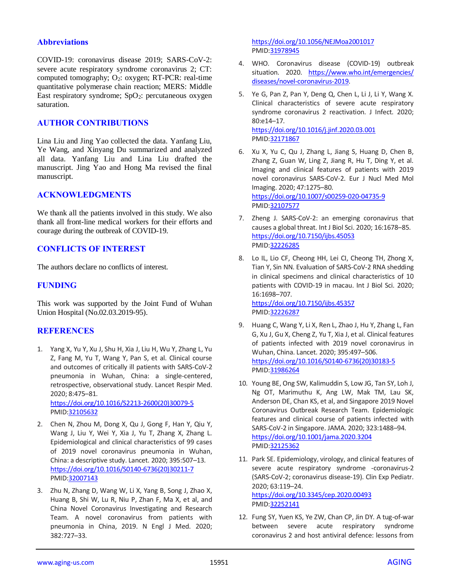## **Abbreviations**

COVID-19: coronavirus disease 2019; SARS-CoV-2: severe acute respiratory syndrome coronavirus 2; CT: computed tomography;  $O_2$ : oxygen; RT-PCR: real-time quantitative polymerase chain reaction; MERS: Middle East respiratory syndrome;  $SpO<sub>2</sub>$ : percutaneous oxygen saturation.

# **AUTHOR CONTRIBUTIONS**

Lina Liu and Jing Yao collected the data. Yanfang Liu, Ye Wang, and Xinyang Du summarized and analyzed all data. Yanfang Liu and Lina Liu drafted the manuscript. Jing Yao and Hong Ma revised the final manuscript.

## **ACKNOWLEDGMENTS**

We thank all the patients involved in this study. We also thank all front-line medical workers for their efforts and courage during the outbreak of COVID-19.

# **CONFLICTS OF INTEREST**

The authors declare no conflicts of interest.

## **FUNDING**

This work was supported by the Joint Fund of Wuhan Union Hospital (No.02.03.2019-95).

## **REFERENCES**

- 1. Yang X, Yu Y, Xu J, Shu H, Xia J, Liu H, Wu Y, Zhang L, Yu Z, Fang M, Yu T, Wang Y, Pan S, et al. Clinical course and outcomes of critically ill patients with SARS-CoV-2 pneumonia in Wuhan, China: a single-centered, retrospective, observational study. Lancet Respir Med. 2020; 8:475–81. [https://doi.org/10.1016/S2213-2600\(20\)30079-5](https://doi.org/10.1016/S2213-2600(20)30079-5) PMID[:32105632](https://pubmed.ncbi.nlm.nih.gov/32105632)
- 2. Chen N, Zhou M, Dong X, Qu J, Gong F, Han Y, Qiu Y, Wang J, Liu Y, Wei Y, Xia J, Yu T, Zhang X, Zhang L. Epidemiological and clinical characteristics of 99 cases of 2019 novel coronavirus pneumonia in Wuhan, China: a descriptive study. Lancet. 2020; 395:507–13. [https://doi.org/10.1016/S0140-6736\(20\)30211-7](https://doi.org/10.1016/S0140-6736(20)30211-7) PMID[:32007143](https://pubmed.ncbi.nlm.nih.gov/32007143)
- 3. Zhu N, Zhang D, Wang W, Li X, Yang B, Song J, Zhao X, Huang B, Shi W, Lu R, Niu P, Zhan F, Ma X, et al, and China Novel Coronavirus Investigating and Research Team. A novel coronavirus from patients with pneumonia in China, 2019. N Engl J Med. 2020; 382:727–33.

<https://doi.org/10.1056/NEJMoa2001017> PMI[D:31978945](https://pubmed.ncbi.nlm.nih.gov/31978945)

- 4. WHO. Coronavirus disease (COVID-19) outbreak situation. 2020. [https://www.who.int/emergencies/](https://www.who.int/emergencies/diseases/novel-coronavirus-2019) [diseases/novel-coronavirus-2019.](https://www.who.int/emergencies/diseases/novel-coronavirus-2019)
- 5. Ye G, Pan Z, Pan Y, Deng Q, Chen L, Li J, Li Y, Wang X. Clinical characteristics of severe acute respiratory syndrome coronavirus 2 reactivation. J Infect. 2020; 80:e14–17. <https://doi.org/10.1016/j.jinf.2020.03.001> PMI[D:32171867](https://pubmed.ncbi.nlm.nih.gov/32171867)
- 6. Xu X, Yu C, Qu J, Zhang L, Jiang S, Huang D, Chen B, Zhang Z, Guan W, Ling Z, Jiang R, Hu T, Ding Y, et al. Imaging and clinical features of patients with 2019 novel coronavirus SARS-CoV-2. Eur J Nucl Med Mol Imaging. 2020; 47:1275–80. <https://doi.org/10.1007/s00259-020-04735-9> PMI[D:32107577](https://pubmed.ncbi.nlm.nih.gov/32107577)
- 7. Zheng J. SARS-CoV-2: an emerging coronavirus that causes a global threat. Int J Biol Sci. 2020; 16:1678–85. <https://doi.org/10.7150/ijbs.45053> PMI[D:32226285](https://pubmed.ncbi.nlm.nih.gov/32226285)
- 8. Lo IL, Lio CF, Cheong HH, Lei CI, Cheong TH, Zhong X, Tian Y, Sin NN. Evaluation of SARS-CoV-2 RNA shedding in clinical specimens and clinical characteristics of 10 patients with COVID-19 in macau. Int J Biol Sci. 2020; 16:1698–707. <https://doi.org/10.7150/ijbs.45357> PMI[D:32226287](https://pubmed.ncbi.nlm.nih.gov/32226287)
- 9. Huang C, Wang Y, Li X, Ren L, Zhao J, Hu Y, Zhang L, Fan G, Xu J, Gu X, Cheng Z, Yu T, Xia J, et al. Clinical features of patients infected with 2019 novel coronavirus in Wuhan, China. Lancet. 2020; 395:497–506. [https://doi.org/10.1016/S0140-6736\(20\)30183-5](https://doi.org/10.1016/S0140-6736(20)30183-5) PMI[D:31986264](https://pubmed.ncbi.nlm.nih.gov/31986264)
- 10. Young BE, Ong SW, Kalimuddin S, Low JG, Tan SY, Loh J, Ng OT, Marimuthu K, Ang LW, Mak TM, Lau SK, Anderson DE, Chan KS, et al, and Singapore 2019 Novel Coronavirus Outbreak Research Team. Epidemiologic features and clinical course of patients infected with SARS-CoV-2 in Singapore. JAMA. 2020; 323:1488–94. <https://doi.org/10.1001/jama.2020.3204> PMI[D:32125362](https://pubmed.ncbi.nlm.nih.gov/32125362)
- 11. Park SE. Epidemiology, virology, and clinical features of severe acute respiratory syndrome -coronavirus-2 (SARS-CoV-2; coronavirus disease-19). Clin Exp Pediatr. 2020; 63:119–24. <https://doi.org/10.3345/cep.2020.00493> PMI[D:32252141](https://pubmed.ncbi.nlm.nih.gov/32252141)
- 12. Fung SY, Yuen KS, Ye ZW, Chan CP, Jin DY. A tug-of-war between severe acute respiratory syndrome coronavirus 2 and host antiviral defence: lessons from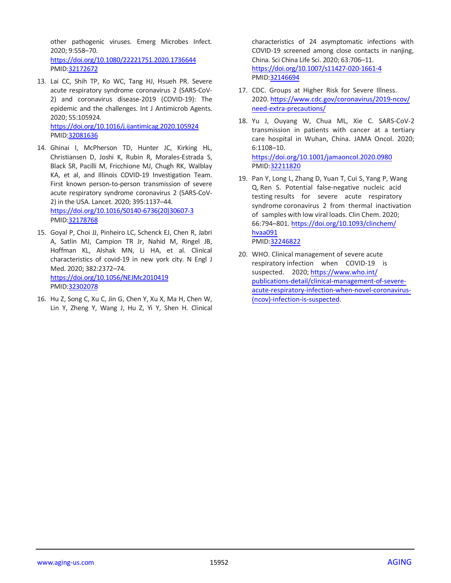other pathogenic viruses. Emerg Microbes Infect. 2020; 9:558–70.

<https://doi.org/10.1080/22221751.2020.1736644> PMID[:32172672](https://pubmed.ncbi.nlm.nih.gov/32172672)

13. Lai CC, Shih TP, Ko WC, Tang HJ, Hsueh PR. Severe acute respiratory syndrome coronavirus 2 (SARS-CoV-2) and coronavirus disease-2019 (COVID-19): The epidemic and the challenges. Int J Antimicrob Agents. 2020; 55:105924. <https://doi.org/10.1016/j.ijantimicag.2020.105924>

PMID[:32081636](https://pubmed.ncbi.nlm.nih.gov/32081636)

- 14. Ghinai I, McPherson TD, Hunter JC, Kirking HL, Christiansen D, Joshi K, Rubin R, Morales-Estrada S, Black SR, Pacilli M, Fricchione MJ, Chugh RK, Walblay KA, et al, and Illinois COVID-19 Investigation Team. First known person-to-person transmission of severe acute respiratory syndrome coronavirus 2 (SARS-CoV-2) in the USA. Lancet. 2020; 395:1137–44. [https://doi.org/10.1016/S0140-6736\(20\)30607-3](https://doi.org/10.1016/S0140-6736(20)30607-3) PMID[:32178768](https://pubmed.ncbi.nlm.nih.gov/32178768)
- 15. Goyal P, Choi JJ, Pinheiro LC, Schenck EJ, Chen R, Jabri A, Satlin MJ, Campion TR Jr, Nahid M, Ringel JB, Hoffman KL, Alshak MN, Li HA, et al. Clinical characteristics of covid-19 in new york city. N Engl J Med. 2020; 382:2372–74. <https://doi.org/10.1056/NEJMc2010419> PMID[:32302078](https://pubmed.ncbi.nlm.nih.gov/32302078)
- 16. Hu Z, Song C, Xu C, Jin G, Chen Y, Xu X, Ma H, Chen W, Lin Y, Zheng Y, Wang J, Hu Z, Yi Y, Shen H. Clinical

characteristics of 24 asymptomatic infections with COVID-19 screened among close contacts in nanjing, China. Sci China Life Sci. 2020; 63:706–11. <https://doi.org/10.1007/s11427-020-1661-4> PMI[D:32146694](https://pubmed.ncbi.nlm.nih.gov/32146694)

- 17. CDC. Groups at Higher Risk for Severe Illness. 2020. [https://www.cdc.gov/coronavirus/2019-ncov/](https://www.cdc.gov/coronavirus/2019-ncov/need-extra-precautions/groups-at-higher-risk.html) [need-extra-precautions/](https://www.cdc.gov/coronavirus/2019-ncov/need-extra-precautions/groups-at-higher-risk.html)
- 18. Yu J, Ouyang W, Chua ML, Xie C. SARS-CoV-2 transmission in patients with cancer at a tertiary care hospital in Wuhan, China. JAMA Oncol. 2020; 6:1108–10. <https://doi.org/10.1001/jamaoncol.2020.0980> PMID[:32211820](https://pubmed.ncbi.nlm.nih.gov/32211820)
- 19. Pan Y, Long L, Zhang D, Yuan T, Cui S, Yang P, Wang Q, Ren S. Potential false-negative nucleic acid testing results for severe acute respiratory syndrome coronavirus 2 from thermal inactivation of samples with low viral loads. Clin Chem. 2020; 66:794–801. [https://doi.org/10.1093/clinch](https://doi.org/10.1093/clinchem/hvaa091)em/ hvaa091 PMID[:32246822](https://pubmed.ncbi.nlm.nih.gov/32246822)
- 20. WHO. Clinical management of severe acute respiratory [infection when COVID-19 is](https://www.who.int/publications-detail/clinical-management-of-severe-acute-respiratory-infection-when-novel-coronavirus-(ncov)-infection-is-suspected)  [suspected. 2020; https://www.who.int/](https://www.who.int/publications-detail/clinical-management-of-severe-acute-respiratory-infection-when-novel-coronavirus-(ncov)-infection-is-suspected) [publications-detail/clinical-management-of-severe](https://www.who.int/publications-detail/clinical-management-of-severe-acute-respiratory-infection-when-novel-coronavirus-(ncov)-infection-is-suspected)acute-respiratory-infection-when-novel-coronavirus- (ncov)-infection-is-suspected.